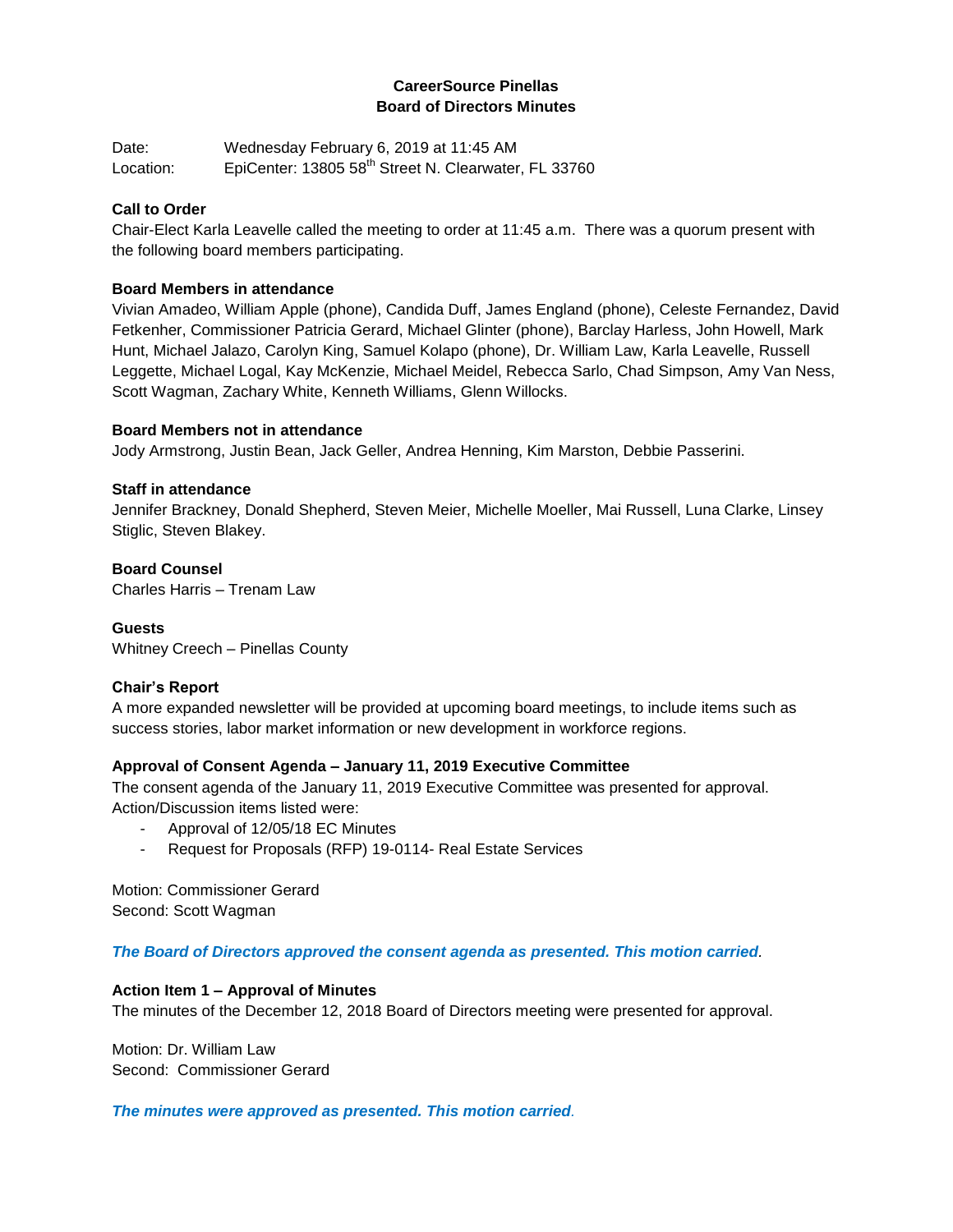## **CareerSource Pinellas Board of Directors Minutes**

Date: Wednesday February 6, 2019 at 11:45 AM Location: EpiCenter: 13805 58<sup>th</sup> Street N. Clearwater, FL 33760

### **Call to Order**

Chair-Elect Karla Leavelle called the meeting to order at 11:45 a.m. There was a quorum present with the following board members participating.

### **Board Members in attendance**

Vivian Amadeo, William Apple (phone), Candida Duff, James England (phone), Celeste Fernandez, David Fetkenher, Commissioner Patricia Gerard, Michael Glinter (phone), Barclay Harless, John Howell, Mark Hunt, Michael Jalazo, Carolyn King, Samuel Kolapo (phone), Dr. William Law, Karla Leavelle, Russell Leggette, Michael Logal, Kay McKenzie, Michael Meidel, Rebecca Sarlo, Chad Simpson, Amy Van Ness, Scott Wagman, Zachary White, Kenneth Williams, Glenn Willocks.

### **Board Members not in attendance**

Jody Armstrong, Justin Bean, Jack Geller, Andrea Henning, Kim Marston, Debbie Passerini.

### **Staff in attendance**

Jennifer Brackney, Donald Shepherd, Steven Meier, Michelle Moeller, Mai Russell, Luna Clarke, Linsey Stiglic, Steven Blakey.

### **Board Counsel**

Charles Harris – Trenam Law

## **Guests**

Whitney Creech – Pinellas County

### **Chair's Report**

A more expanded newsletter will be provided at upcoming board meetings, to include items such as success stories, labor market information or new development in workforce regions.

### **Approval of Consent Agenda – January 11, 2019 Executive Committee**

The consent agenda of the January 11, 2019 Executive Committee was presented for approval. Action/Discussion items listed were:

- Approval of 12/05/18 EC Minutes
- Request for Proposals (RFP) 19-0114- Real Estate Services

Motion: Commissioner Gerard Second: Scott Wagman

### *The Board of Directors approved the consent agenda as presented. This motion carried.*

## **Action Item 1 – Approval of Minutes**

The minutes of the December 12, 2018 Board of Directors meeting were presented for approval.

Motion: Dr. William Law Second: Commissioner Gerard

*The minutes were approved as presented. This motion carried.*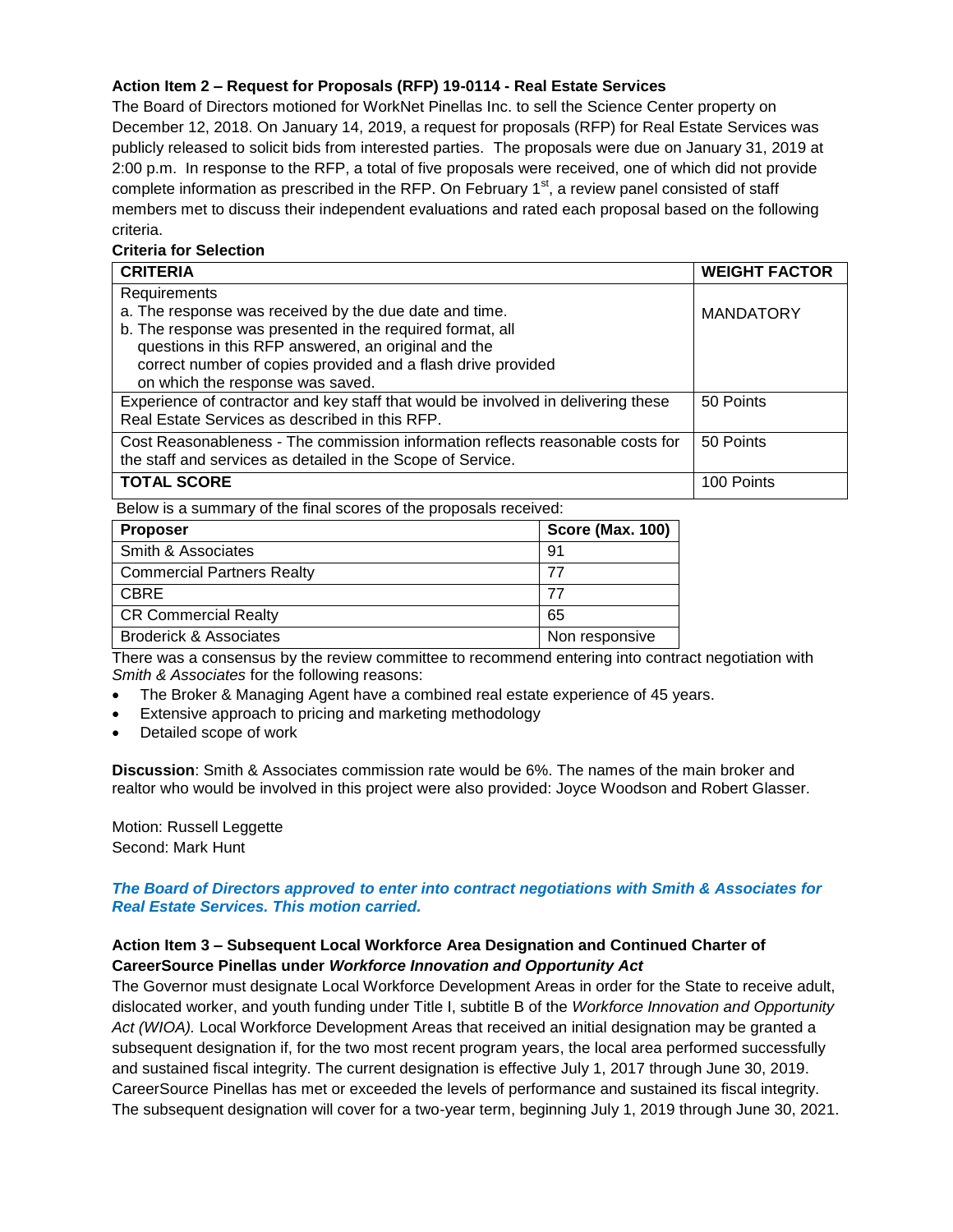## **Action Item 2 – Request for Proposals (RFP) 19-0114 - Real Estate Services**

The Board of Directors motioned for WorkNet Pinellas Inc. to sell the Science Center property on December 12, 2018. On January 14, 2019, a request for proposals (RFP) for Real Estate Services was publicly released to solicit bids from interested parties. The proposals were due on January 31, 2019 at 2:00 p.m. In response to the RFP, a total of five proposals were received, one of which did not provide complete information as prescribed in the RFP. On February  $1<sup>st</sup>$ , a review panel consisted of staff members met to discuss their independent evaluations and rated each proposal based on the following criteria.

## **Criteria for Selection**

| <b>CRITERIA</b>                                                                   | <b>WEIGHT FACTOR</b> |
|-----------------------------------------------------------------------------------|----------------------|
| Requirements                                                                      |                      |
| a. The response was received by the due date and time.                            | <b>MANDATORY</b>     |
| b. The response was presented in the required format, all                         |                      |
| questions in this RFP answered, an original and the                               |                      |
| correct number of copies provided and a flash drive provided                      |                      |
| on which the response was saved.                                                  |                      |
| Experience of contractor and key staff that would be involved in delivering these | 50 Points            |
| Real Estate Services as described in this RFP.                                    |                      |
| Cost Reasonableness - The commission information reflects reasonable costs for    | 50 Points            |
| the staff and services as detailed in the Scope of Service.                       |                      |
| <b>TOTAL SCORE</b>                                                                | 100 Points           |

Below is a summary of the final scores of the proposals received:

| <b>Proposer</b>                   | Score (Max. 100) |
|-----------------------------------|------------------|
| Smith & Associates                | -91              |
| <b>Commercial Partners Realty</b> | 77               |
| CBRE                              | 77               |
| <b>CR Commercial Realty</b>       | 65               |
| Broderick & Associates            | Non responsive   |

There was a consensus by the review committee to recommend entering into contract negotiation with *Smith & Associates* for the following reasons:

- The Broker & Managing Agent have a combined real estate experience of 45 years.
- Extensive approach to pricing and marketing methodology
- Detailed scope of work

**Discussion**: Smith & Associates commission rate would be 6%. The names of the main broker and realtor who would be involved in this project were also provided: Joyce Woodson and Robert Glasser.

Motion: Russell Leggette Second: Mark Hunt

### *The Board of Directors approved to enter into contract negotiations with Smith & Associates for Real Estate Services. This motion carried.*

## **Action Item 3 – Subsequent Local Workforce Area Designation and Continued Charter of CareerSource Pinellas under** *Workforce Innovation and Opportunity Act*

The Governor must designate Local Workforce Development Areas in order for the State to receive adult, dislocated worker, and youth funding under Title I, subtitle B of the *Workforce Innovation and Opportunity Act (WIOA).* Local Workforce Development Areas that received an initial designation may be granted a subsequent designation if, for the two most recent program years, the local area performed successfully and sustained fiscal integrity. The current designation is effective July 1, 2017 through June 30, 2019. CareerSource Pinellas has met or exceeded the levels of performance and sustained its fiscal integrity. The subsequent designation will cover for a two-year term, beginning July 1, 2019 through June 30, 2021.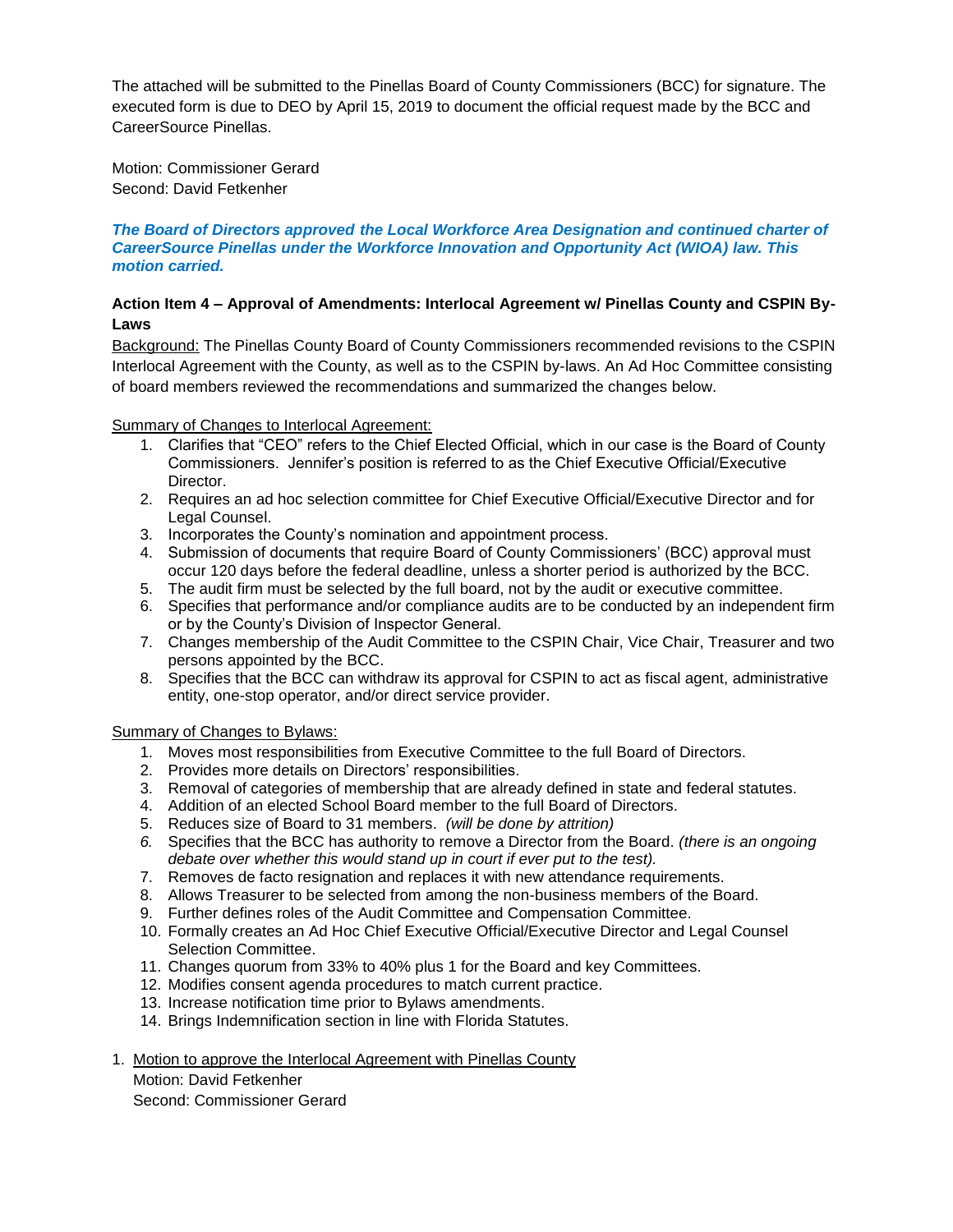The attached will be submitted to the Pinellas Board of County Commissioners (BCC) for signature. The executed form is due to DEO by April 15, 2019 to document the official request made by the BCC and CareerSource Pinellas.

Motion: Commissioner Gerard Second: David Fetkenher

#### *The Board of Directors approved the Local Workforce Area Designation and continued charter of CareerSource Pinellas under the Workforce Innovation and Opportunity Act (WIOA) law. This motion carried.*

## **Action Item 4 – Approval of Amendments: Interlocal Agreement w/ Pinellas County and CSPIN By-Laws**

Background: The Pinellas County Board of County Commissioners recommended revisions to the CSPIN Interlocal Agreement with the County, as well as to the CSPIN by-laws. An Ad Hoc Committee consisting of board members reviewed the recommendations and summarized the changes below.

Summary of Changes to Interlocal Agreement:

- 1. Clarifies that "CEO" refers to the Chief Elected Official, which in our case is the Board of County Commissioners. Jennifer's position is referred to as the Chief Executive Official/Executive Director.
- 2. Requires an ad hoc selection committee for Chief Executive Official/Executive Director and for Legal Counsel.
- 3. Incorporates the County's nomination and appointment process.
- 4. Submission of documents that require Board of County Commissioners' (BCC) approval must occur 120 days before the federal deadline, unless a shorter period is authorized by the BCC.
- 5. The audit firm must be selected by the full board, not by the audit or executive committee.
- 6. Specifies that performance and/or compliance audits are to be conducted by an independent firm or by the County's Division of Inspector General.
- 7. Changes membership of the Audit Committee to the CSPIN Chair, Vice Chair, Treasurer and two persons appointed by the BCC.
- 8. Specifies that the BCC can withdraw its approval for CSPIN to act as fiscal agent, administrative entity, one-stop operator, and/or direct service provider.

Summary of Changes to Bylaws:

- 1. Moves most responsibilities from Executive Committee to the full Board of Directors.
- 2. Provides more details on Directors' responsibilities.
- 3. Removal of categories of membership that are already defined in state and federal statutes.
- 4. Addition of an elected School Board member to the full Board of Directors.
- 5. Reduces size of Board to 31 members. *(will be done by attrition)*
- *6.* Specifies that the BCC has authority to remove a Director from the Board. *(there is an ongoing debate over whether this would stand up in court if ever put to the test).*
- 7. Removes de facto resignation and replaces it with new attendance requirements.
- 8. Allows Treasurer to be selected from among the non-business members of the Board.
- 9. Further defines roles of the Audit Committee and Compensation Committee.
- 10. Formally creates an Ad Hoc Chief Executive Official/Executive Director and Legal Counsel Selection Committee.
- 11. Changes quorum from 33% to 40% plus 1 for the Board and key Committees.
- 12. Modifies consent agenda procedures to match current practice.
- 13. Increase notification time prior to Bylaws amendments.
- 14. Brings Indemnification section in line with Florida Statutes.
- 1. Motion to approve the Interlocal Agreement with Pinellas County Motion: David Fetkenher

Second: Commissioner Gerard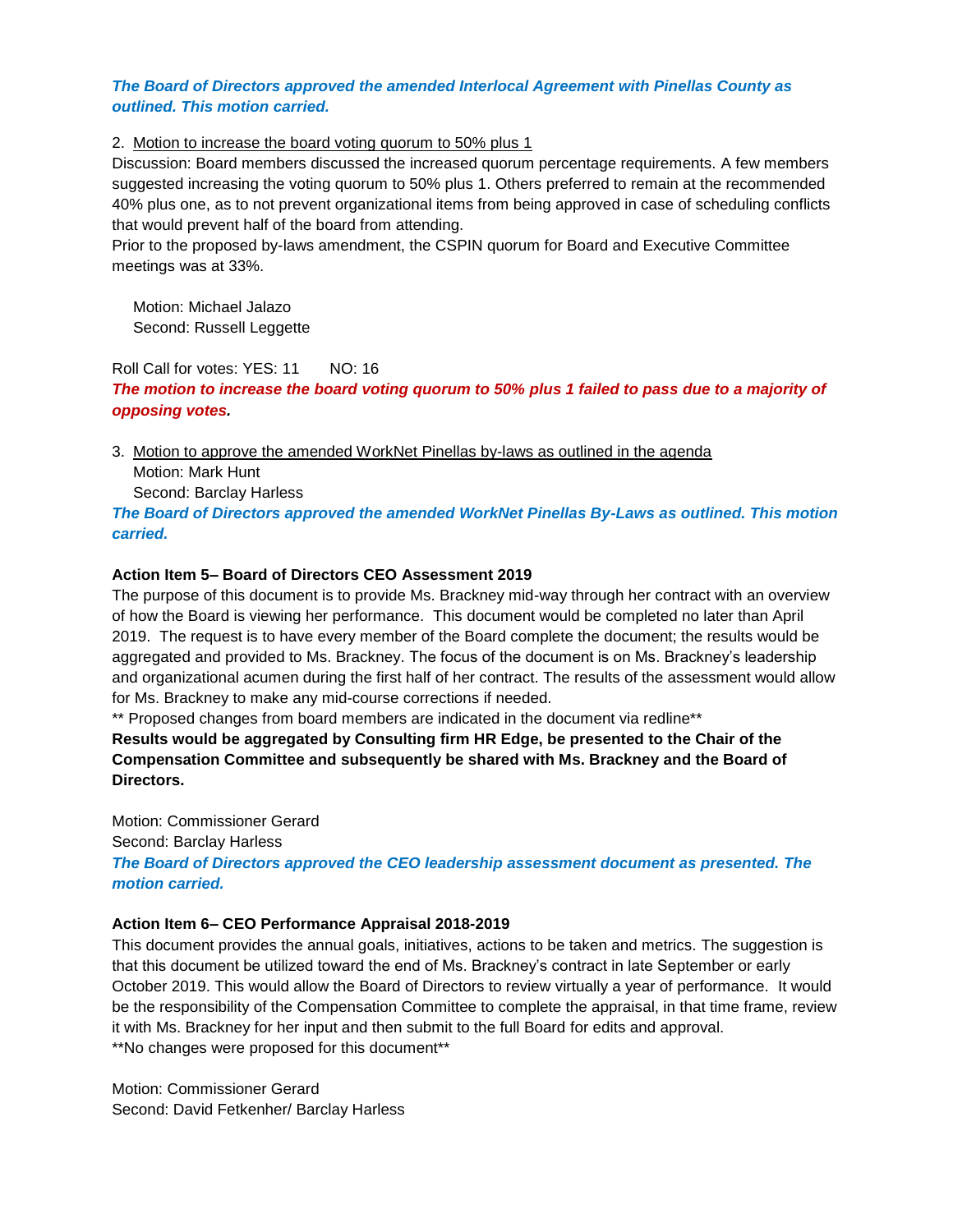### *The Board of Directors approved the amended Interlocal Agreement with Pinellas County as outlined. This motion carried.*

### 2. Motion to increase the board voting quorum to 50% plus 1

Discussion: Board members discussed the increased quorum percentage requirements. A few members suggested increasing the voting quorum to 50% plus 1. Others preferred to remain at the recommended 40% plus one, as to not prevent organizational items from being approved in case of scheduling conflicts that would prevent half of the board from attending.

Prior to the proposed by-laws amendment, the CSPIN quorum for Board and Executive Committee meetings was at 33%.

Motion: Michael Jalazo Second: Russell Leggette

Roll Call for votes: YES: 11 NO: 16

*The motion to increase the board voting quorum to 50% plus 1 failed to pass due to a majority of opposing votes.* 

3. Motion to approve the amended WorkNet Pinellas by-laws as outlined in the agenda Motion: Mark Hunt Second: Barclay Harless

*The Board of Directors approved the amended WorkNet Pinellas By-Laws as outlined. This motion carried.*

### **Action Item 5– Board of Directors CEO Assessment 2019**

The purpose of this document is to provide Ms. Brackney mid-way through her contract with an overview of how the Board is viewing her performance. This document would be completed no later than April 2019. The request is to have every member of the Board complete the document; the results would be aggregated and provided to Ms. Brackney. The focus of the document is on Ms. Brackney's leadership and organizational acumen during the first half of her contract. The results of the assessment would allow for Ms. Brackney to make any mid-course corrections if needed.

\*\* Proposed changes from board members are indicated in the document via redline\*\* **Results would be aggregated by Consulting firm HR Edge, be presented to the Chair of the Compensation Committee and subsequently be shared with Ms. Brackney and the Board of Directors.** 

Motion: Commissioner Gerard Second: Barclay Harless *The Board of Directors approved the CEO leadership assessment document as presented. The motion carried.* 

#### **Action Item 6– CEO Performance Appraisal 2018-2019**

This document provides the annual goals, initiatives, actions to be taken and metrics. The suggestion is that this document be utilized toward the end of Ms. Brackney's contract in late September or early October 2019. This would allow the Board of Directors to review virtually a year of performance. It would be the responsibility of the Compensation Committee to complete the appraisal, in that time frame, review it with Ms. Brackney for her input and then submit to the full Board for edits and approval. \*\*No changes were proposed for this document\*\*

Motion: Commissioner Gerard Second: David Fetkenher/ Barclay Harless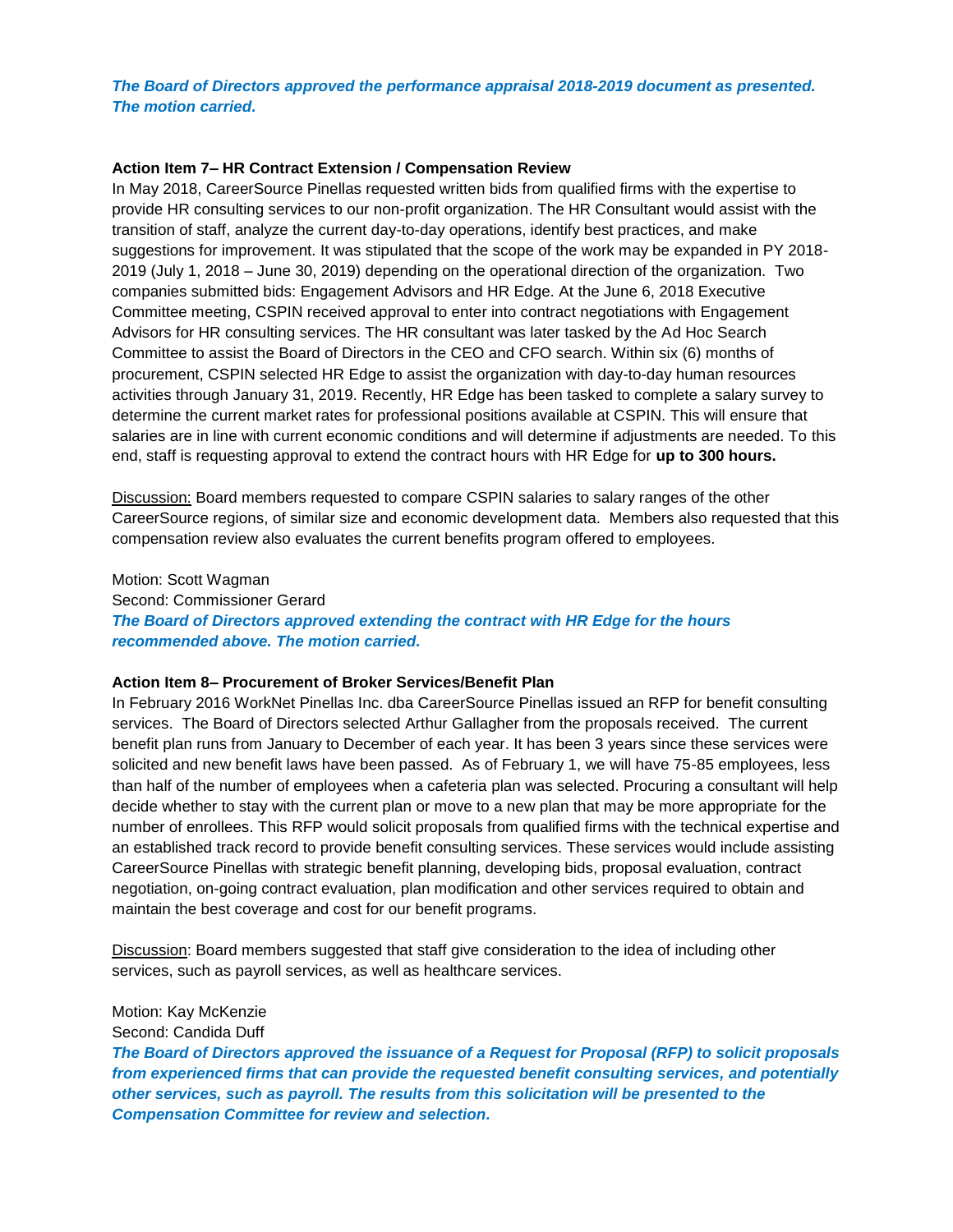### *The Board of Directors approved the performance appraisal 2018-2019 document as presented. The motion carried.*

#### **Action Item 7– HR Contract Extension / Compensation Review**

In May 2018, CareerSource Pinellas requested written bids from qualified firms with the expertise to provide HR consulting services to our non-profit organization. The HR Consultant would assist with the transition of staff, analyze the current day-to-day operations, identify best practices, and make suggestions for improvement. It was stipulated that the scope of the work may be expanded in PY 2018- 2019 (July 1, 2018 – June 30, 2019) depending on the operational direction of the organization. Two companies submitted bids: Engagement Advisors and HR Edge. At the June 6, 2018 Executive Committee meeting, CSPIN received approval to enter into contract negotiations with Engagement Advisors for HR consulting services. The HR consultant was later tasked by the Ad Hoc Search Committee to assist the Board of Directors in the CEO and CFO search. Within six (6) months of procurement, CSPIN selected HR Edge to assist the organization with day-to-day human resources activities through January 31, 2019. Recently, HR Edge has been tasked to complete a salary survey to determine the current market rates for professional positions available at CSPIN. This will ensure that salaries are in line with current economic conditions and will determine if adjustments are needed. To this end, staff is requesting approval to extend the contract hours with HR Edge for **up to 300 hours.**

Discussion: Board members requested to compare CSPIN salaries to salary ranges of the other CareerSource regions, of similar size and economic development data. Members also requested that this compensation review also evaluates the current benefits program offered to employees.

Motion: Scott Wagman Second: Commissioner Gerard *The Board of Directors approved extending the contract with HR Edge for the hours recommended above. The motion carried.* 

#### **Action Item 8– Procurement of Broker Services/Benefit Plan**

Motion: Kay McKenzie

In February 2016 WorkNet Pinellas Inc. dba CareerSource Pinellas issued an RFP for benefit consulting services. The Board of Directors selected Arthur Gallagher from the proposals received. The current benefit plan runs from January to December of each year. It has been 3 years since these services were solicited and new benefit laws have been passed. As of February 1, we will have 75-85 employees, less than half of the number of employees when a cafeteria plan was selected. Procuring a consultant will help decide whether to stay with the current plan or move to a new plan that may be more appropriate for the number of enrollees. This RFP would solicit proposals from qualified firms with the technical expertise and an established track record to provide benefit consulting services. These services would include assisting CareerSource Pinellas with strategic benefit planning, developing bids, proposal evaluation, contract negotiation, on-going contract evaluation, plan modification and other services required to obtain and maintain the best coverage and cost for our benefit programs.

Discussion: Board members suggested that staff give consideration to the idea of including other services, such as payroll services, as well as healthcare services.

Second: Candida Duff *The Board of Directors approved the issuance of a Request for Proposal (RFP) to solicit proposals from experienced firms that can provide the requested benefit consulting services, and potentially other services, such as payroll. The results from this solicitation will be presented to the Compensation Committee for review and selection.*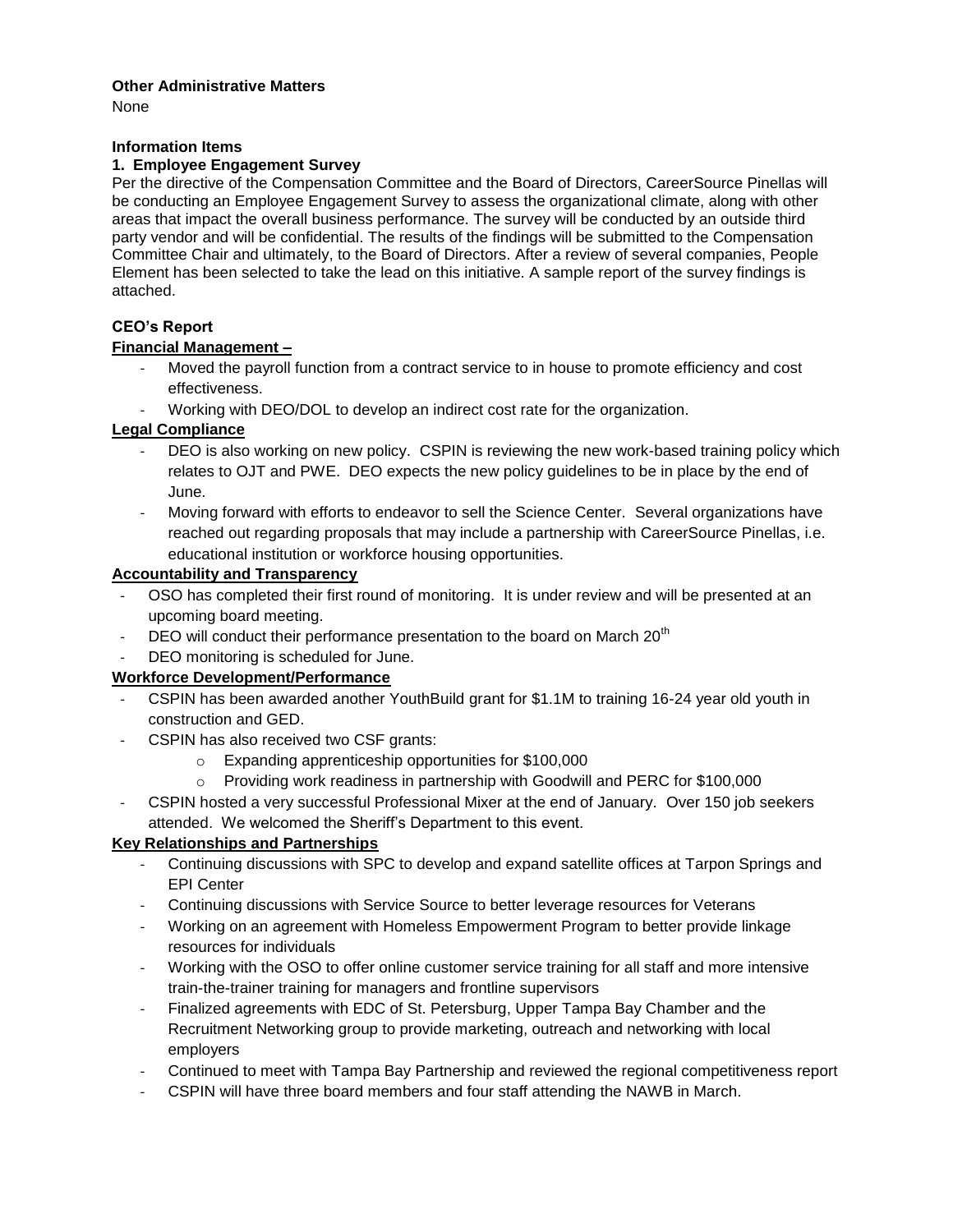## **Other Administrative Matters**

None

## **Information Items**

### **1. Employee Engagement Survey**

Per the directive of the Compensation Committee and the Board of Directors, CareerSource Pinellas will be conducting an Employee Engagement Survey to assess the organizational climate, along with other areas that impact the overall business performance. The survey will be conducted by an outside third party vendor and will be confidential. The results of the findings will be submitted to the Compensation Committee Chair and ultimately, to the Board of Directors. After a review of several companies, People Element has been selected to take the lead on this initiative. A sample report of the survey findings is attached.

# **CEO's Report**

## **Financial Management –**

- Moved the payroll function from a contract service to in house to promote efficiency and cost effectiveness.
- Working with DEO/DOL to develop an indirect cost rate for the organization.

## **Legal Compliance**

- DEO is also working on new policy. CSPIN is reviewing the new work-based training policy which relates to OJT and PWE. DEO expects the new policy guidelines to be in place by the end of June.
- Moving forward with efforts to endeavor to sell the Science Center. Several organizations have reached out regarding proposals that may include a partnership with CareerSource Pinellas, i.e. educational institution or workforce housing opportunities.

## **Accountability and Transparency**

- OSO has completed their first round of monitoring. It is under review and will be presented at an upcoming board meeting.
- DEO will conduct their performance presentation to the board on March  $20<sup>th</sup>$
- DEO monitoring is scheduled for June.

## **Workforce Development/Performance**

- CSPIN has been awarded another YouthBuild grant for \$1.1M to training 16-24 year old youth in construction and GED.
- CSPIN has also received two CSF grants:
	- o Expanding apprenticeship opportunities for \$100,000
	- $\circ$  Providing work readiness in partnership with Goodwill and PERC for \$100,000
- CSPIN hosted a very successful Professional Mixer at the end of January. Over 150 job seekers attended. We welcomed the Sheriff's Department to this event.

## **Key Relationships and Partnerships**

- Continuing discussions with SPC to develop and expand satellite offices at Tarpon Springs and EPI Center
- Continuing discussions with Service Source to better leverage resources for Veterans
- Working on an agreement with Homeless Empowerment Program to better provide linkage resources for individuals
- Working with the OSO to offer online customer service training for all staff and more intensive train-the-trainer training for managers and frontline supervisors
- Finalized agreements with EDC of St. Petersburg, Upper Tampa Bay Chamber and the Recruitment Networking group to provide marketing, outreach and networking with local employers
- Continued to meet with Tampa Bay Partnership and reviewed the regional competitiveness report
- CSPIN will have three board members and four staff attending the NAWB in March.